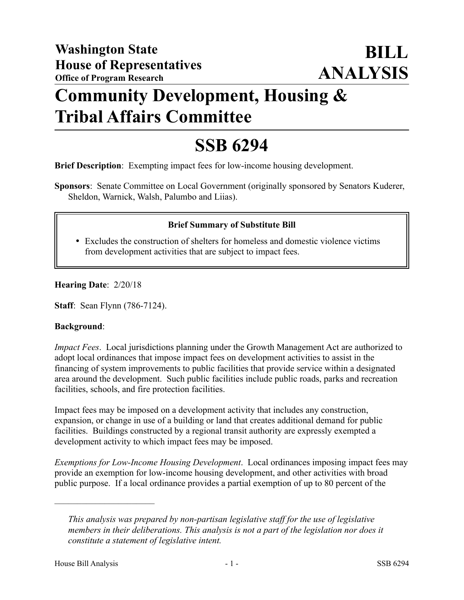# **Community Development, Housing & Tribal Affairs Committee**

# **SSB 6294**

**Brief Description**: Exempting impact fees for low-income housing development.

**Sponsors**: Senate Committee on Local Government (originally sponsored by Senators Kuderer, Sheldon, Warnick, Walsh, Palumbo and Liias).

## **Brief Summary of Substitute Bill**

 Excludes the construction of shelters for homeless and domestic violence victims from development activities that are subject to impact fees.

**Hearing Date**: 2/20/18

**Staff**: Sean Flynn (786-7124).

#### **Background**:

*Impact Fees*. Local jurisdictions planning under the Growth Management Act are authorized to adopt local ordinances that impose impact fees on development activities to assist in the financing of system improvements to public facilities that provide service within a designated area around the development. Such public facilities include public roads, parks and recreation facilities, schools, and fire protection facilities.

Impact fees may be imposed on a development activity that includes any construction, expansion, or change in use of a building or land that creates additional demand for public facilities. Buildings constructed by a regional transit authority are expressly exempted a development activity to which impact fees may be imposed.

*Exemptions for Low-Income Housing Development*. Local ordinances imposing impact fees may provide an exemption for low-income housing development, and other activities with broad public purpose. If a local ordinance provides a partial exemption of up to 80 percent of the

––––––––––––––––––––––

*This analysis was prepared by non-partisan legislative staff for the use of legislative members in their deliberations. This analysis is not a part of the legislation nor does it constitute a statement of legislative intent.*